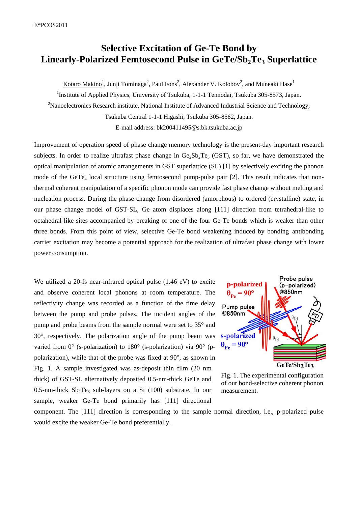## **Selective Excitation of Ge-Te Bond by**  Linearly-Polarized Femtosecond Pulse in GeTe/Sb<sub>2</sub>Te<sub>3</sub> Superlattice

Kotaro Makino<sup>1</sup>, Junji Tominaga<sup>2</sup>, Paul Fons<sup>2</sup>, Alexander V. Kolobov<sup>2</sup>, and Muneaki Hase<sup>1</sup>

<sup>1</sup>Institute of Applied Physics, University of Tsukuba, 1-1-1 Tennodai, Tsukuba 305-8573, Japan.

<sup>2</sup>Nanoelectronics Research institute, National Institute of Advanced Industrial Science and Technology,

Tsukuba Central 1-1-1 Higashi, Tsukuba 305-8562, Japan.

E-mail address: bk200411495@s.bk.tsukuba.ac.jp

Improvement of operation speed of phase change memory technology is the present-day important research subjects. In order to realize ultrafast phase change in  $Ge_2Sb_2Te_5$  (GST), so far, we have demonstrated the optical manipulation of atomic arrangements in GST superlattice (SL) [1] by selectively exciting the phonon mode of the GeTe<sub>4</sub> local structure using femtosecond pump-pulse pair [2]. This result indicates that nonthermal coherent manipulation of a specific phonon mode can provide fast phase change without melting and nucleation process. During the phase change from disordered (amorphous) to ordered (crystalline) state, in our phase change model of GST-SL, Ge atom displaces along [111] direction from tetrahedral-like to octahedral-like sites accompanied by breaking of one of the four Ge-Te bonds which is weaker than other three bonds. From this point of view, selective Ge-Te bond weakening induced by bonding–antibonding carrier excitation may become a potential approach for the realization of ultrafast phase change with lower power consumption.

We utilized a 20-fs near-infrared optical pulse  $(1.46 \text{ eV})$  to excite and observe coherent local phonons at room temperature. The reflectivity change was recorded as a function of the time delay between the pump and probe pulses. The incident angles of the pump and probe beams from the sample normal were set to 35° and 30°, respectively. The polarization angle of the pump beam was varied from 0° (s-polarization) to 180° (s-polarization) via 90° (ppolarization), while that of the probe was fixed at 90°, as shown in Fig. 1. A sample investigated was as-deposit thin film (20 nm thick) of GST-SL alternatively deposited 0.5-nm-thick GeTe and 0.5-nm-thick  $Sb_2Te_3$  sub-layers on a Si (100) substrate. In our sample, weaker Ge-Te bond primarily has [111] directional



Fig. 1. The experimental configuration of our bond-selective coherent phonon measurement.

component. The [111] direction is corresponding to the sample normal direction, i.e., p-polarized pulse would excite the weaker Ge-Te bond preferentially.